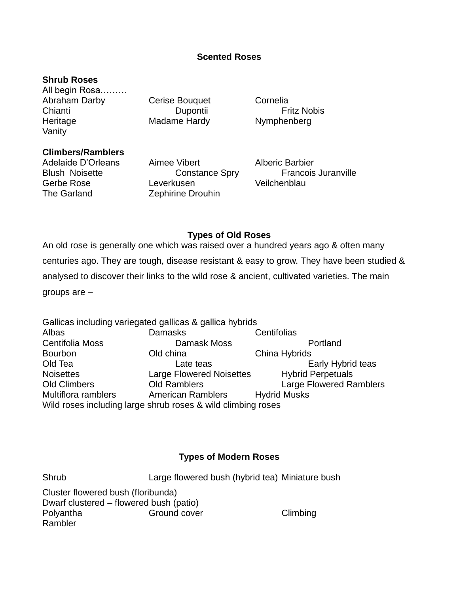# **Scented Roses**

## **Shrub Roses**

All begin Rosa……… Abraham Darby **Cerise Bouquet** Cornelia Chianti Dupontii Dupontii Fritz Nobis Heritage Madame Hardy Nymphenberg Vanity

## **Climbers/Ramblers**

Adelaide D'Orleans Aimee Vibert Alberic Barbier Gerbe Rose Leverkusen Veilchenblau The Garland **Zephirine Drouhin** 

Blush Noisette **Constance Spry** Francois Juranville

# **Types of Old Roses**

An old rose is generally one which was raised over a hundred years ago & often many centuries ago. They are tough, disease resistant & easy to grow. They have been studied & analysed to discover their links to the wild rose & ancient, cultivated varieties. The main groups are –

Gallicas including variegated gallicas & gallica hybrids Albas Damasks Centifolias Centifolia Moss Damask Moss Portland Bourbon Old china China Hybrids Old Tea **Late teas** Late teas **Early Hybrid teas** Noisettes **Large Flowered Noisettes** Hybrid Perpetuals Old Climbers **Old Ramblers** Large Flowered Ramblers Multiflora ramblers **American Ramblers** Hydrid Musks Wild roses including large shrub roses & wild climbing roses

# **Types of Modern Roses**

| Shrub                                   |              | Large flowered bush (hybrid tea) Miniature bush |
|-----------------------------------------|--------------|-------------------------------------------------|
| Cluster flowered bush (floribunda)      |              |                                                 |
| Dwarf clustered – flowered bush (patio) |              |                                                 |
| Polyantha                               | Ground cover | Climbing                                        |
| Rambler                                 |              |                                                 |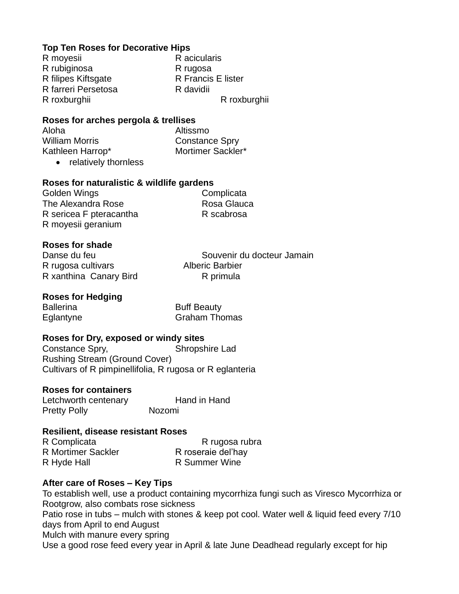# **Top Ten Roses for Decorative Hips**

| R moyesii           | R acicularis       |
|---------------------|--------------------|
| R rubiginosa        | R rugosa           |
| R filipes Kiftsgate | R Francis E lister |
| R farreri Persetosa | R davidii          |
| R roxburghii        | R roxburghii       |

## **Roses for arches pergola & trellises**

Aloha Altissmo William Morris **Constance Spry** Kathleen Harrop\* Mortimer Sackler\*

• relatively thornless

#### **Roses for naturalistic & wildlife gardens**

Golden Wings **Complicata** The Alexandra Rose **Rosa Glauca** R sericea F pteracantha R scabrosa R moyesii geranium

## **Roses for shade**

R rugosa cultivars **Alberic Barbier** R xanthina Canary Bird R primula

Danse du feu Souvenir du docteur Jamain

## **Roses for Hedging**

Ballerina **Buff Beauty** Eglantyne Graham Thomas

# **Roses for Dry, exposed or windy sites**

Constance Spry, Shropshire Lad Rushing Stream (Ground Cover) Cultivars of R pimpinellifolia, R rugosa or R eglanteria

# **Roses for containers**

Letchworth centenary Hand in Hand Pretty Polly **Nozomi** 

#### **Resilient, disease resistant Roses**

R Complicata R rugosa rubra R Mortimer Sackler R roseraie del'hay R Hyde Hall R Summer Wine

# **After care of Roses – Key Tips**

To establish well, use a product containing mycorrhiza fungi such as Viresco Mycorrhiza or Rootgrow, also combats rose sickness

Patio rose in tubs – mulch with stones & keep pot cool. Water well & liquid feed every 7/10 days from April to end August

Mulch with manure every spring

Use a good rose feed every year in April & late June Deadhead regularly except for hip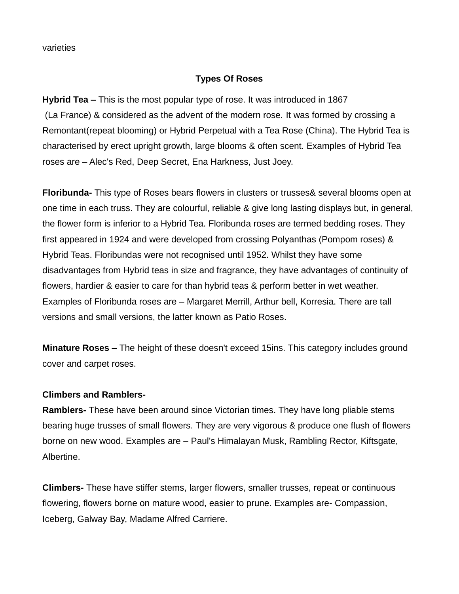varieties

# **Types Of Roses**

**Hybrid Tea –** This is the most popular type of rose. It was introduced in 1867 (La France) & considered as the advent of the modern rose. It was formed by crossing a Remontant(repeat blooming) or Hybrid Perpetual with a Tea Rose (China). The Hybrid Tea is characterised by erect upright growth, large blooms & often scent. Examples of Hybrid Tea roses are – Alec's Red, Deep Secret, Ena Harkness, Just Joey.

**Floribunda-** This type of Roses bears flowers in clusters or trusses& several blooms open at one time in each truss. They are colourful, reliable & give long lasting displays but, in general, the flower form is inferior to a Hybrid Tea. Floribunda roses are termed bedding roses. They first appeared in 1924 and were developed from crossing Polyanthas (Pompom roses) & Hybrid Teas. Floribundas were not recognised until 1952. Whilst they have some disadvantages from Hybrid teas in size and fragrance, they have advantages of continuity of flowers, hardier & easier to care for than hybrid teas & perform better in wet weather. Examples of Floribunda roses are – Margaret Merrill, Arthur bell, Korresia. There are tall versions and small versions, the latter known as Patio Roses.

**Minature Roses –** The height of these doesn't exceed 15ins. This category includes ground cover and carpet roses.

#### **Climbers and Ramblers-**

**Ramblers-** These have been around since Victorian times. They have long pliable stems bearing huge trusses of small flowers. They are very vigorous & produce one flush of flowers borne on new wood. Examples are – Paul's Himalayan Musk, Rambling Rector, Kiftsgate, Albertine.

**Climbers-** These have stiffer stems, larger flowers, smaller trusses, repeat or continuous flowering, flowers borne on mature wood, easier to prune. Examples are- Compassion, Iceberg, Galway Bay, Madame Alfred Carriere.